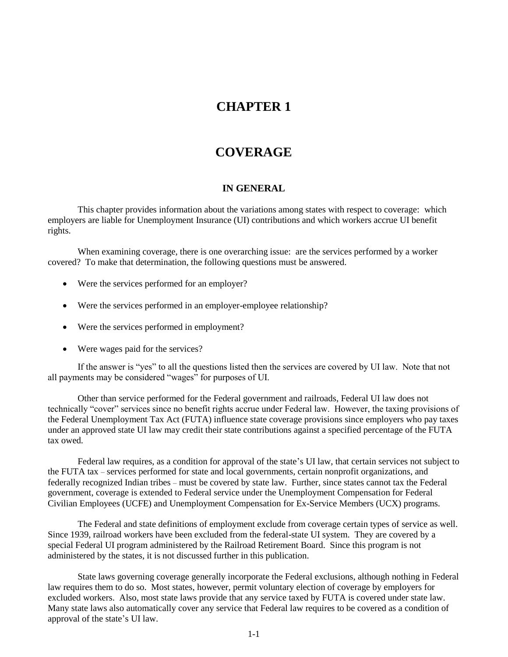# **CHAPTER 1**

# **COVERAGE**

#### **IN GENERAL**

This chapter provides information about the variations among states with respect to coverage: which employers are liable for Unemployment Insurance (UI) contributions and which workers accrue UI benefit rights.

When examining coverage, there is one overarching issue: are the services performed by a worker covered? To make that determination, the following questions must be answered.

- Were the services performed for an employer?
- Were the services performed in an employer-employee relationship?
- Were the services performed in employment?
- Were wages paid for the services?

If the answer is "yes" to all the questions listed then the services are covered by UI law. Note that not all payments may be considered "wages" for purposes of UI.

Other than service performed for the Federal government and railroads, Federal UI law does not technically "cover" services since no benefit rights accrue under Federal law. However, the taxing provisions of the Federal Unemployment Tax Act (FUTA) influence state coverage provisions since employers who pay taxes under an approved state UI law may credit their state contributions against a specified percentage of the FUTA tax owed.

Federal law requires, as a condition for approval of the state's UI law, that certain services not subject to the FUTA tax – services performed for state and local governments, certain nonprofit organizations, and federally recognized Indian tribes – must be covered by state law. Further, since states cannot tax the Federal government, coverage is extended to Federal service under the Unemployment Compensation for Federal Civilian Employees (UCFE) and Unemployment Compensation for Ex-Service Members (UCX) programs.

The Federal and state definitions of employment exclude from coverage certain types of service as well. Since 1939, railroad workers have been excluded from the federal-state UI system. They are covered by a special Federal UI program administered by the Railroad Retirement Board. Since this program is not administered by the states, it is not discussed further in this publication.

State laws governing coverage generally incorporate the Federal exclusions, although nothing in Federal law requires them to do so. Most states, however, permit voluntary election of coverage by employers for excluded workers. Also, most state laws provide that any service taxed by FUTA is covered under state law. Many state laws also automatically cover any service that Federal law requires to be covered as a condition of approval of the state's UI law.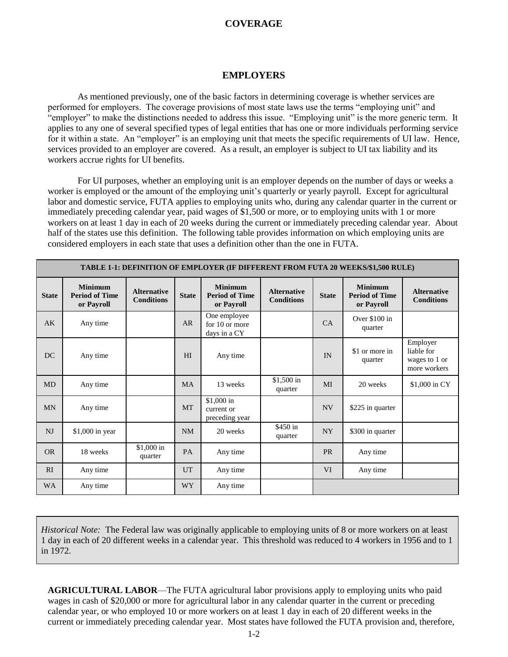#### **EMPLOYERS**

As mentioned previously, one of the basic factors in determining coverage is whether services are performed for employers. The coverage provisions of most state laws use the terms "employing unit" and "employer" to make the distinctions needed to address this issue. "Employing unit" is the more generic term. It applies to any one of several specified types of legal entities that has one or more individuals performing service for it within a state. An "employer" is an employing unit that meets the specific requirements of UI law. Hence, services provided to an employer are covered. As a result, an employer is subject to UI tax liability and its workers accrue rights for UI benefits.

For UI purposes, whether an employing unit is an employer depends on the number of days or weeks a worker is employed or the amount of the employing unit's quarterly or yearly payroll. Except for agricultural labor and domestic service, FUTA applies to employing units who, during any calendar quarter in the current or immediately preceding calendar year, paid wages of \$1,500 or more, or to employing units with 1 or more workers on at least 1 day in each of 20 weeks during the current or immediately preceding calendar year. About half of the states use this definition. The following table provides information on which employing units are considered employers in each state that uses a definition other than the one in FUTA.

|              | TABLE 1-1: DEFINITION OF EMPLOYER (IF DIFFERENT FROM FUTA 20 WEEKS/\$1,500 RULE) |                                         |              |                                                       |                                         |              |                                                       |                                                         |  |  |
|--------------|----------------------------------------------------------------------------------|-----------------------------------------|--------------|-------------------------------------------------------|-----------------------------------------|--------------|-------------------------------------------------------|---------------------------------------------------------|--|--|
| <b>State</b> | <b>Minimum</b><br><b>Period of Time</b><br>or Payroll                            | <b>Alternative</b><br><b>Conditions</b> | <b>State</b> | <b>Minimum</b><br><b>Period of Time</b><br>or Payroll | <b>Alternative</b><br><b>Conditions</b> | <b>State</b> | <b>Minimum</b><br><b>Period of Time</b><br>or Payroll | <b>Alternative</b><br><b>Conditions</b>                 |  |  |
| AK           | Any time                                                                         |                                         | AR           | One employee<br>for 10 or more<br>days in a CY        |                                         | CA           | Over \$100 in<br>quarter                              |                                                         |  |  |
| DC           | Any time                                                                         |                                         | HI           | Any time                                              |                                         | IN           | \$1 or more in<br>quarter                             | Employer<br>liable for<br>wages to 1 or<br>more workers |  |  |
| MD           | Any time                                                                         |                                         | <b>MA</b>    | 13 weeks                                              | \$1,500 in<br>quarter                   | MI           | 20 weeks                                              | \$1,000 in CY                                           |  |  |
| <b>MN</b>    | Any time                                                                         |                                         | <b>MT</b>    | \$1,000 in<br>current or<br>preceding year            |                                         | NV           | \$225 in quarter                                      |                                                         |  |  |
| NJ           | \$1,000 in year                                                                  |                                         | <b>NM</b>    | 20 weeks                                              | \$450 in<br>quarter                     | <b>NY</b>    | \$300 in quarter                                      |                                                         |  |  |
| <b>OR</b>    | 18 weeks                                                                         | \$1,000 in<br>quarter                   | PA           | Any time                                              |                                         | <b>PR</b>    | Any time                                              |                                                         |  |  |
| RI           | Any time                                                                         |                                         | UT           | Any time                                              |                                         | <b>VI</b>    | Any time                                              |                                                         |  |  |
| <b>WA</b>    | Any time                                                                         |                                         | <b>WY</b>    | Any time                                              |                                         |              |                                                       |                                                         |  |  |

*Historical Note:* The Federal law was originally applicable to employing units of 8 or more workers on at least 1 day in each of 20 different weeks in a calendar year. This threshold was reduced to 4 workers in 1956 and to 1 in 1972.

**AGRICULTURAL LABOR**—The FUTA agricultural labor provisions apply to employing units who paid wages in cash of \$20,000 or more for agricultural labor in any calendar quarter in the current or preceding calendar year, or who employed 10 or more workers on at least 1 day in each of 20 different weeks in the current or immediately preceding calendar year. Most states have followed the FUTA provision and, therefore,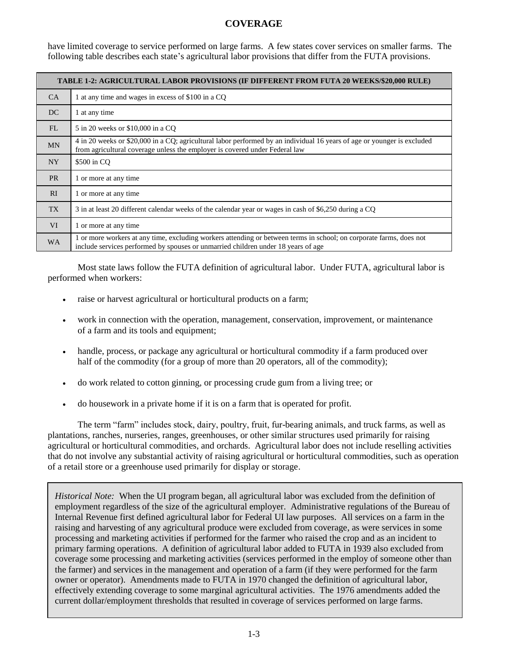have limited coverage to service performed on large farms. A few states cover services on smaller farms. The following table describes each state's agricultural labor provisions that differ from the FUTA provisions.

|                | TABLE 1-2: AGRICULTURAL LABOR PROVISIONS (IF DIFFERENT FROM FUTA 20 WEEKS/\$20,000 RULE)                                                                                                                 |  |  |  |  |  |  |
|----------------|----------------------------------------------------------------------------------------------------------------------------------------------------------------------------------------------------------|--|--|--|--|--|--|
| CA             | 1 at any time and wages in excess of \$100 in a CQ                                                                                                                                                       |  |  |  |  |  |  |
| DC             | 1 at any time                                                                                                                                                                                            |  |  |  |  |  |  |
| FL             | 5 in 20 weeks or \$10,000 in a CO                                                                                                                                                                        |  |  |  |  |  |  |
| <b>MN</b>      | 4 in 20 weeks or \$20,000 in a CQ; agricultural labor performed by an individual 16 years of age or younger is excluded<br>from agricultural coverage unless the employer is covered under Federal law   |  |  |  |  |  |  |
| NY <sub></sub> | \$500 in CQ                                                                                                                                                                                              |  |  |  |  |  |  |
| <b>PR</b>      | 1 or more at any time                                                                                                                                                                                    |  |  |  |  |  |  |
| RI             | 1 or more at any time                                                                                                                                                                                    |  |  |  |  |  |  |
| TX             | 3 in at least 20 different calendar weeks of the calendar year or wages in cash of \$6,250 during a CO                                                                                                   |  |  |  |  |  |  |
| <b>VI</b>      | 1 or more at any time                                                                                                                                                                                    |  |  |  |  |  |  |
| <b>WA</b>      | 1 or more workers at any time, excluding workers attending or between terms in school; on corporate farms, does not<br>include services performed by spouses or unmarried children under 18 years of age |  |  |  |  |  |  |

Most state laws follow the FUTA definition of agricultural labor. Under FUTA, agricultural labor is performed when workers:

- raise or harvest agricultural or horticultural products on a farm;
- work in connection with the operation, management, conservation, improvement, or maintenance of a farm and its tools and equipment;
- handle, process, or package any agricultural or horticultural commodity if a farm produced over half of the commodity (for a group of more than 20 operators, all of the commodity);
- do work related to cotton ginning, or processing crude gum from a living tree; or
- do housework in a private home if it is on a farm that is operated for profit.

The term "farm" includes stock, dairy, poultry, fruit, fur-bearing animals, and truck farms, as well as plantations, ranches, nurseries, ranges, greenhouses, or other similar structures used primarily for raising agricultural or horticultural commodities, and orchards. Agricultural labor does not include reselling activities that do not involve any substantial activity of raising agricultural or horticultural commodities, such as operation of a retail store or a greenhouse used primarily for display or storage.

*Historical Note:* When the UI program began, all agricultural labor was excluded from the definition of employment regardless of the size of the agricultural employer. Administrative regulations of the Bureau of Internal Revenue first defined agricultural labor for Federal UI law purposes. All services on a farm in the raising and harvesting of any agricultural produce were excluded from coverage, as were services in some processing and marketing activities if performed for the farmer who raised the crop and as an incident to primary farming operations. A definition of agricultural labor added to FUTA in 1939 also excluded from coverage some processing and marketing activities (services performed in the employ of someone other than the farmer) and services in the management and operation of a farm (if they were performed for the farm owner or operator). Amendments made to FUTA in 1970 changed the definition of agricultural labor, effectively extending coverage to some marginal agricultural activities. The 1976 amendments added the current dollar/employment thresholds that resulted in coverage of services performed on large farms.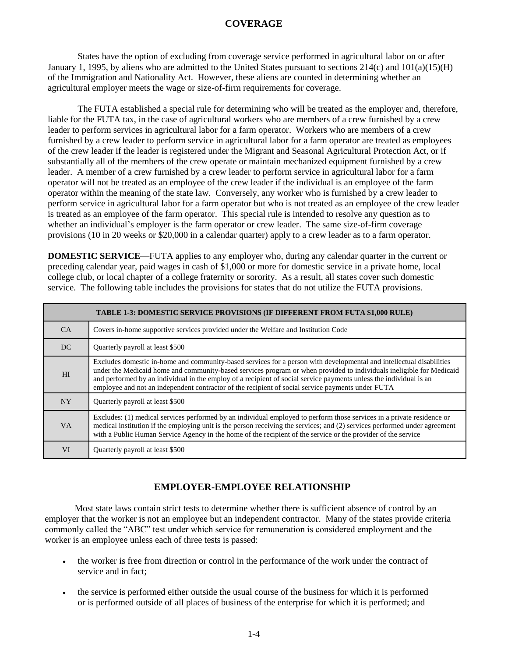States have the option of excluding from coverage service performed in agricultural labor on or after January 1, 1995, by aliens who are admitted to the United States pursuant to sections 214(c) and 101(a)(15)(H) of the Immigration and Nationality Act. However, these aliens are counted in determining whether an agricultural employer meets the wage or size-of-firm requirements for coverage.

The FUTA established a special rule for determining who will be treated as the employer and, therefore, liable for the FUTA tax, in the case of agricultural workers who are members of a crew furnished by a crew leader to perform services in agricultural labor for a farm operator. Workers who are members of a crew furnished by a crew leader to perform service in agricultural labor for a farm operator are treated as employees of the crew leader if the leader is registered under the Migrant and Seasonal Agricultural Protection Act, or if substantially all of the members of the crew operate or maintain mechanized equipment furnished by a crew leader. A member of a crew furnished by a crew leader to perform service in agricultural labor for a farm operator will not be treated as an employee of the crew leader if the individual is an employee of the farm operator within the meaning of the state law. Conversely, any worker who is furnished by a crew leader to perform service in agricultural labor for a farm operator but who is not treated as an employee of the crew leader is treated as an employee of the farm operator. This special rule is intended to resolve any question as to whether an individual's employer is the farm operator or crew leader. The same size-of-firm coverage provisions (10 in 20 weeks or \$20,000 in a calendar quarter) apply to a crew leader as to a farm operator.

**DOMESTIC SERVICE—**FUTA applies to any employer who, during any calendar quarter in the current or preceding calendar year, paid wages in cash of \$1,000 or more for domestic service in a private home, local college club, or local chapter of a college fraternity or sorority. As a result, all states cover such domestic service. The following table includes the provisions for states that do not utilize the FUTA provisions.

|           | <b>TABLE 1-3: DOMESTIC SERVICE PROVISIONS (IF DIFFERENT FROM FUTA \$1,000 RULE)</b>                                                                                                                                                                                                                                                                                                                                                                                     |
|-----------|-------------------------------------------------------------------------------------------------------------------------------------------------------------------------------------------------------------------------------------------------------------------------------------------------------------------------------------------------------------------------------------------------------------------------------------------------------------------------|
| <b>CA</b> | Covers in-home supportive services provided under the Welfare and Institution Code                                                                                                                                                                                                                                                                                                                                                                                      |
| DC.       | Quarterly payroll at least \$500                                                                                                                                                                                                                                                                                                                                                                                                                                        |
| HI        | Excludes domestic in-home and community-based services for a person with developmental and intellectual disabilities<br>under the Medicaid home and community-based services program or when provided to individuals ineligible for Medicaid<br>and performed by an individual in the employ of a recipient of social service payments unless the individual is an<br>employee and not an independent contractor of the recipient of social service payments under FUTA |
| <b>NY</b> | Quarterly payroll at least \$500                                                                                                                                                                                                                                                                                                                                                                                                                                        |
| <b>VA</b> | Excludes: (1) medical services performed by an individual employed to perform those services in a private residence or<br>medical institution if the employing unit is the person receiving the services; and (2) services performed under agreement<br>with a Public Human Service Agency in the home of the recipient of the service or the provider of the service                                                                                                   |
| VI        | Quarterly payroll at least \$500                                                                                                                                                                                                                                                                                                                                                                                                                                        |

## **EMPLOYER-EMPLOYEE RELATIONSHIP**

Most state laws contain strict tests to determine whether there is sufficient absence of control by an employer that the worker is not an employee but an independent contractor. Many of the states provide criteria commonly called the "ABC" test under which service for remuneration is considered employment and the worker is an employee unless each of three tests is passed:

- the worker is free from direction or control in the performance of the work under the contract of service and in fact;
- the service is performed either outside the usual course of the business for which it is performed or is performed outside of all places of business of the enterprise for which it is performed; and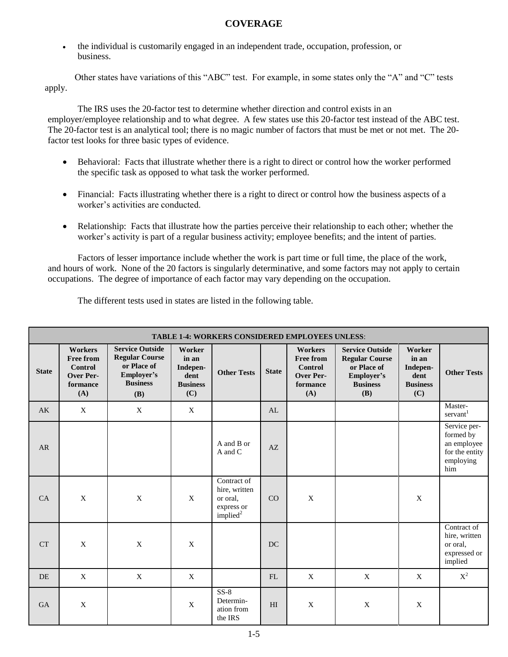the individual is customarily engaged in an independent trade, occupation, profession, or business.

Other states have variations of this "ABC" test. For example, in some states only the "A" and "C" tests apply.

The IRS uses the 20-factor test to determine whether direction and control exists in an employer/employee relationship and to what degree. A few states use this 20-factor test instead of the ABC test. The 20-factor test is an analytical tool; there is no magic number of factors that must be met or not met. The 20 factor test looks for three basic types of evidence.

- Behavioral: Facts that illustrate whether there is a right to direct or control how the worker performed the specific task as opposed to what task the worker performed.
- Financial: Facts illustrating whether there is a right to direct or control how the business aspects of a worker's activities are conducted.
- Relationship: Facts that illustrate how the parties perceive their relationship to each other; whether the worker's activity is part of a regular business activity; employee benefits; and the intent of parties.

Factors of lesser importance include whether the work is part time or full time, the place of the work, and hours of work. None of the 20 factors is singularly determinative, and some factors may not apply to certain occupations. The degree of importance of each factor may vary depending on the occupation.

The different tests used in states are listed in the following table.

|              | <b>TABLE 1-4: WORKERS CONSIDERED EMPLOYEES UNLESS:</b>                               |                                                                                                               |                                                               |                                                                       |              |                                                                                             |                                                                                                        |                                                               |                                                                                |  |  |
|--------------|--------------------------------------------------------------------------------------|---------------------------------------------------------------------------------------------------------------|---------------------------------------------------------------|-----------------------------------------------------------------------|--------------|---------------------------------------------------------------------------------------------|--------------------------------------------------------------------------------------------------------|---------------------------------------------------------------|--------------------------------------------------------------------------------|--|--|
| <b>State</b> | <b>Workers</b><br><b>Free from</b><br><b>Control</b><br>Over Per-<br>formance<br>(A) | <b>Service Outside</b><br><b>Regular Course</b><br>or Place of<br>Employer's<br><b>Business</b><br><b>(B)</b> | Worker<br>in an<br>Indepen-<br>dent<br><b>Business</b><br>(C) | <b>Other Tests</b>                                                    | <b>State</b> | <b>Workers</b><br><b>Free from</b><br><b>Control</b><br><b>Over Per-</b><br>formance<br>(A) | <b>Service Outside</b><br><b>Regular Course</b><br>or Place of<br>Employer's<br><b>Business</b><br>(B) | Worker<br>in an<br>Indepen-<br>dent<br><b>Business</b><br>(C) | <b>Other Tests</b>                                                             |  |  |
| AK           | X                                                                                    | X                                                                                                             | X                                                             |                                                                       | AL           |                                                                                             |                                                                                                        |                                                               | Master-<br>servant <sup>1</sup>                                                |  |  |
| AR           |                                                                                      |                                                                                                               |                                                               | A and B or<br>A and C                                                 | AZ           |                                                                                             |                                                                                                        |                                                               | Service per-<br>formed by<br>an employee<br>for the entity<br>employing<br>him |  |  |
| CA           | $\mathbf{X}$                                                                         | $\mathbf X$                                                                                                   | $\mathbf{X}$                                                  | Contract of<br>hire, written<br>or oral,<br>express or<br>implied $2$ | CO           | X                                                                                           |                                                                                                        | $\mathbf{X}$                                                  |                                                                                |  |  |
| <b>CT</b>    | $\mathbf X$                                                                          | $\mathbf X$                                                                                                   | $\mathbf X$                                                   |                                                                       | <b>DC</b>    |                                                                                             |                                                                                                        |                                                               | Contract of<br>hire, written<br>or oral,<br>expressed or<br>implied            |  |  |
| <b>DE</b>    | X                                                                                    | $\mathbf X$                                                                                                   | X                                                             |                                                                       | FL           | X                                                                                           | X                                                                                                      | X                                                             | $\mathbf{X}^2$                                                                 |  |  |
| <b>GA</b>    | X                                                                                    |                                                                                                               | X                                                             | $SS-8$<br>Determin-<br>ation from<br>the IRS                          | HI           | X                                                                                           | X                                                                                                      | $\mathbf X$                                                   |                                                                                |  |  |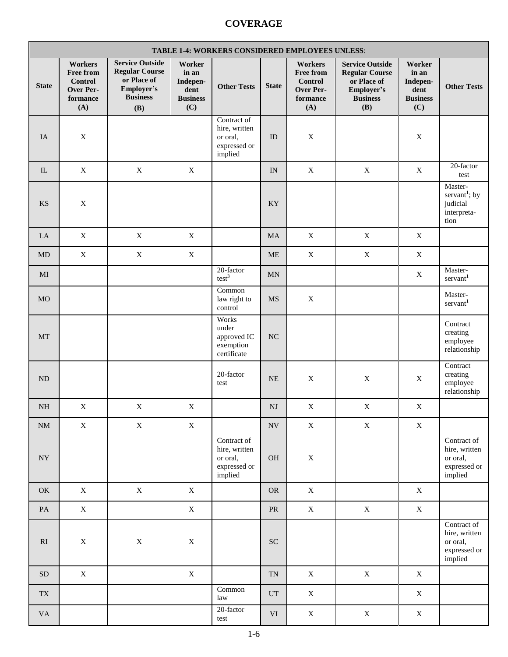| <b>TABLE 1-4: WORKERS CONSIDERED EMPLOYEES UNLESS:</b> |                                                                               |                                                                                                               |                                                               |                                                                     |                            |                                                                               |                                                                                                               |                                                               |                                                                         |
|--------------------------------------------------------|-------------------------------------------------------------------------------|---------------------------------------------------------------------------------------------------------------|---------------------------------------------------------------|---------------------------------------------------------------------|----------------------------|-------------------------------------------------------------------------------|---------------------------------------------------------------------------------------------------------------|---------------------------------------------------------------|-------------------------------------------------------------------------|
| <b>State</b>                                           | Workers<br><b>Free from</b><br><b>Control</b><br>Over Per-<br>formance<br>(A) | <b>Service Outside</b><br><b>Regular Course</b><br>or Place of<br>Employer's<br><b>Business</b><br><b>(B)</b> | Worker<br>in an<br>Indepen-<br>dent<br><b>Business</b><br>(C) | <b>Other Tests</b>                                                  | <b>State</b>               | Workers<br><b>Free from</b><br><b>Control</b><br>Over Per-<br>formance<br>(A) | <b>Service Outside</b><br><b>Regular Course</b><br>or Place of<br>Employer's<br><b>Business</b><br><b>(B)</b> | Worker<br>in an<br>Indepen-<br>dent<br><b>Business</b><br>(C) | <b>Other Tests</b>                                                      |
| IA                                                     | $\mathbf X$                                                                   |                                                                                                               |                                                               | Contract of<br>hire, written<br>or oral,<br>expressed or<br>implied | ID                         | $\mathbf X$                                                                   |                                                                                                               | $\mathbf X$                                                   |                                                                         |
| IL                                                     | $\mathbf X$                                                                   | $\mathbf X$                                                                                                   | $\mathbf X$                                                   |                                                                     | IN                         | $\mathbf X$                                                                   | $\mathbf X$                                                                                                   | $\mathbf X$                                                   | 20-factor<br>test                                                       |
| <b>KS</b>                                              | $\mathbf X$                                                                   |                                                                                                               |                                                               |                                                                     | KY                         |                                                                               |                                                                                                               |                                                               | Master-<br>servant <sup>1</sup> ; by<br>judicial<br>interpreta-<br>tion |
| LA                                                     | $\mathbf X$                                                                   | $\mathbf X$                                                                                                   | $\mathbf X$                                                   |                                                                     | MA                         | $\mathbf X$                                                                   | $\mathbf X$                                                                                                   | $\mathbf X$                                                   |                                                                         |
| MD                                                     | $\mathbf X$                                                                   | $\mathbf X$                                                                                                   | $\mathbf X$                                                   |                                                                     | <b>ME</b>                  | $\mathbf X$                                                                   | $\mathbf X$                                                                                                   | $\mathbf X$                                                   |                                                                         |
| MI                                                     |                                                                               |                                                                                                               |                                                               | 20-factor<br>test <sup>3</sup>                                      | MN                         |                                                                               |                                                                                                               | $\mathbf X$                                                   | Master-<br>servant <sup>1</sup>                                         |
| <b>MO</b>                                              |                                                                               |                                                                                                               |                                                               | Common<br>law right to<br>control                                   | <b>MS</b>                  | X                                                                             |                                                                                                               |                                                               | Master-<br>servant <sup>1</sup>                                         |
| MT                                                     |                                                                               |                                                                                                               |                                                               | Works<br>under<br>approved IC<br>exemption<br>certificate           | NC                         |                                                                               |                                                                                                               |                                                               | Contract<br>creating<br>employee<br>relationship                        |
| <b>ND</b>                                              |                                                                               |                                                                                                               |                                                               | 20-factor<br>test                                                   | <b>NE</b>                  | X                                                                             | $\mathbf X$                                                                                                   | $\mathbf X$                                                   | Contract<br>creating<br>employee<br>relationship                        |
| $\rm NH$                                               | $\mathbf X$                                                                   | $\mathbf X$                                                                                                   | $\mathbf X$                                                   |                                                                     | $\mathbf{N}\mathbf{J}$     | $\mathbf X$                                                                   | $\mathbf X$                                                                                                   | $\mathbf X$                                                   |                                                                         |
| $\rm{NM}$                                              | $\mathbf X$                                                                   | $\mathbf X$                                                                                                   | X                                                             |                                                                     | $\ensuremath{\text{NV}}$   | $\mathbf X$                                                                   | $\mathbf X$                                                                                                   | $\mathbf X$                                                   |                                                                         |
| ${\rm NY}$                                             |                                                                               |                                                                                                               |                                                               | Contract of<br>hire, written<br>or oral,<br>expressed or<br>implied | <b>OH</b>                  | $\mathbf X$                                                                   |                                                                                                               |                                                               | Contract of<br>hire, written<br>or oral,<br>expressed or<br>implied     |
| OK                                                     | $\mathbf X$                                                                   | $\mathbf X$                                                                                                   | $\mathbf X$                                                   |                                                                     | <b>OR</b>                  | $\mathbf X$                                                                   |                                                                                                               | $\mathbf X$                                                   |                                                                         |
| $\mathbf{PA}$                                          | $\mathbf X$                                                                   |                                                                                                               | $\mathbf X$                                                   |                                                                     | <b>PR</b>                  | $\mathbf X$                                                                   | $\mathbf X$                                                                                                   | $\mathbf X$                                                   |                                                                         |
| R1                                                     | $\mathbf X$                                                                   | $\mathbf X$                                                                                                   | $\mathbf X$                                                   |                                                                     | ${\rm SC}$                 |                                                                               |                                                                                                               |                                                               | Contract of<br>hire, written<br>or oral,<br>expressed or<br>implied     |
| <b>SD</b>                                              | $\mathbf X$                                                                   |                                                                                                               | $\mathbf X$                                                   |                                                                     | <b>TN</b>                  | $\mathbf X$                                                                   | $\mathbf X$                                                                                                   | $\mathbf X$                                                   |                                                                         |
| TX                                                     |                                                                               |                                                                                                               |                                                               | Common<br>law                                                       | $\ensuremath{\mathrm{UT}}$ | $\mathbf X$                                                                   |                                                                                                               | $\mathbf X$                                                   |                                                                         |
| <b>VA</b>                                              |                                                                               |                                                                                                               |                                                               | 20-factor<br>test                                                   | $\rm{VI}$                  | $\mathbf X$                                                                   | $\mathbf X$                                                                                                   | $\mathbf X$                                                   |                                                                         |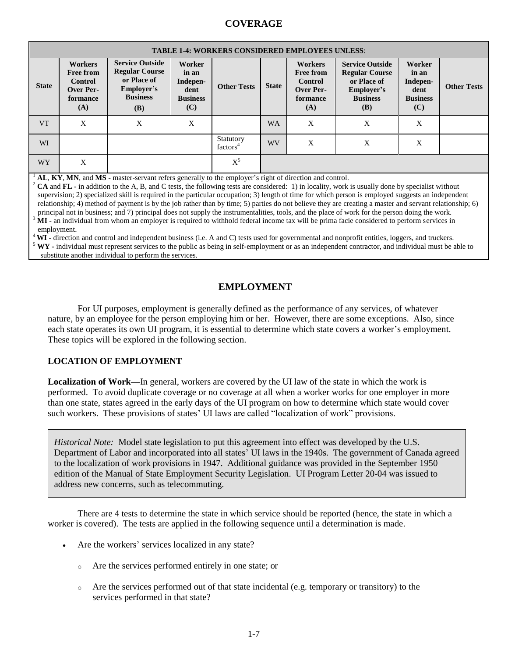|              | <b>TABLE 1-4: WORKERS CONSIDERED EMPLOYEES UNLESS:</b>                               |                                                                                                               |                                                               |                                   |              |                                                                                      |                                                                                                                                                               |                                                               |                    |  |
|--------------|--------------------------------------------------------------------------------------|---------------------------------------------------------------------------------------------------------------|---------------------------------------------------------------|-----------------------------------|--------------|--------------------------------------------------------------------------------------|---------------------------------------------------------------------------------------------------------------------------------------------------------------|---------------------------------------------------------------|--------------------|--|
| <b>State</b> | <b>Workers</b><br><b>Free from</b><br><b>Control</b><br>Over Per-<br>formance<br>(A) | <b>Service Outside</b><br><b>Regular Course</b><br>or Place of<br>Employer's<br><b>Business</b><br><b>(B)</b> | Worker<br>in an<br>Indepen-<br>dent<br><b>Business</b><br>(C) | <b>Other Tests</b>                | <b>State</b> | <b>Workers</b><br><b>Free from</b><br><b>Control</b><br>Over Per-<br>formance<br>(A) | <b>Service Outside</b><br><b>Regular Course</b><br>or Place of<br>Employer's<br><b>Business</b><br><b>(B)</b>                                                 | Worker<br>in an<br>Indepen-<br>dent<br><b>Business</b><br>(C) | <b>Other Tests</b> |  |
| <b>VT</b>    | X                                                                                    | X                                                                                                             | X                                                             |                                   | WA           | X                                                                                    | X                                                                                                                                                             | X                                                             |                    |  |
| <b>WI</b>    |                                                                                      |                                                                                                               |                                                               | Statutory<br>factors <sup>4</sup> | WV           | X                                                                                    | X                                                                                                                                                             | X                                                             |                    |  |
| <b>WY</b>    | X                                                                                    |                                                                                                               |                                                               | $X^5$                             |              |                                                                                      |                                                                                                                                                               |                                                               |                    |  |
|              |                                                                                      | AL, KY, MN, and MS - master-servant refers generally to the employer's right of direction and control.        |                                                               |                                   |              |                                                                                      | <sup>2</sup> CA and FL - in addition to the A, B, and C tests, the following tests are considered: 1) in locality, work is usually done by specialist without |                                                               |                    |  |

supervision; 2) specialized skill is required in the particular occupation; 3) length of time for which person is employed suggests an independent relationship; 4) method of payment is by the job rather than by time; 5) parties do not believe they are creating a master and servant relationship; 6) principal not in business; and 7) principal does not supply the instrumentalities, tools, and the place of work for the person doing the work.

<sup>3</sup> **MI -** an individual from whom an employer is required to withhold federal income tax will be prima facie considered to perform services in employment.

<sup>4</sup> WI - direction and control and independent business (i.e. A and C) tests used for governmental and nonprofit entities, loggers, and truckers.

<sup>5</sup> WY - individual must represent services to the public as being in self-employment or as an independent contractor, and individual must be able to substitute another individual to perform the services.

## **EMPLOYMENT**

For UI purposes, employment is generally defined as the performance of any services, of whatever nature, by an employee for the person employing him or her. However, there are some exceptions. Also, since each state operates its own UI program, it is essential to determine which state covers a worker's employment. These topics will be explored in the following section.

## **LOCATION OF EMPLOYMENT**

**Localization of Work—**In general, workers are covered by the UI law of the state in which the work is performed. To avoid duplicate coverage or no coverage at all when a worker works for one employer in more than one state, states agreed in the early days of the UI program on how to determine which state would cover such workers. These provisions of states' UI laws are called "localization of work" provisions.

*Historical Note:* Model state legislation to put this agreement into effect was developed by the U.S. Department of Labor and incorporated into all states' UI laws in the 1940s. The government of Canada agreed to the localization of work provisions in 1947. Additional guidance was provided in the September 1950 edition of the Manual of State Employment Security Legislation. UI Program Letter 20-04 was issued to address new concerns, such as telecommuting.

There are 4 tests to determine the state in which service should be reported (hence, the state in which a worker is covered). The tests are applied in the following sequence until a determination is made.

- Are the workers' services localized in any state?
	- o Are the services performed entirely in one state; or
	- o Are the services performed out of that state incidental (e.g. temporary or transitory) to the services performed in that state?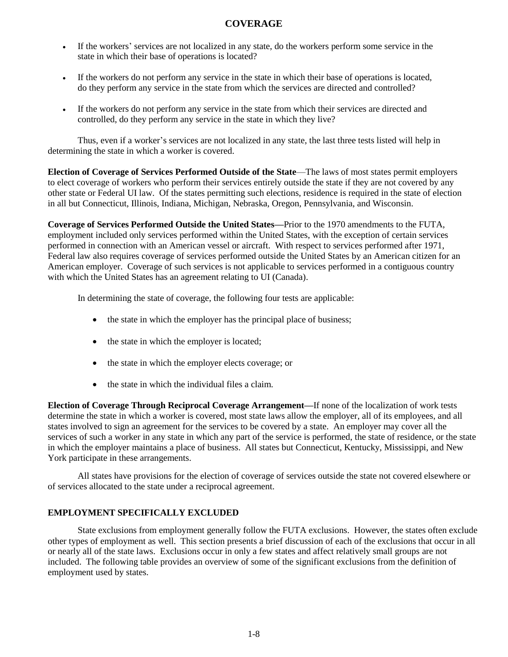- If the workers' services are not localized in any state, do the workers perform some service in the state in which their base of operations is located?
- If the workers do not perform any service in the state in which their base of operations is located, do they perform any service in the state from which the services are directed and controlled?
- If the workers do not perform any service in the state from which their services are directed and controlled, do they perform any service in the state in which they live?

Thus, even if a worker's services are not localized in any state, the last three tests listed will help in determining the state in which a worker is covered.

**Election of Coverage of Services Performed Outside of the State**—The laws of most states permit employers to elect coverage of workers who perform their services entirely outside the state if they are not covered by any other state or Federal UI law. Of the states permitting such elections, residence is required in the state of election in all but Connecticut, Illinois, Indiana, Michigan, Nebraska, Oregon, Pennsylvania, and Wisconsin.

**Coverage of Services Performed Outside the United States—**Prior to the 1970 amendments to the FUTA, employment included only services performed within the United States, with the exception of certain services performed in connection with an American vessel or aircraft. With respect to services performed after 1971, Federal law also requires coverage of services performed outside the United States by an American citizen for an American employer. Coverage of such services is not applicable to services performed in a contiguous country with which the United States has an agreement relating to UI (Canada).

In determining the state of coverage, the following four tests are applicable:

- the state in which the employer has the principal place of business;
- the state in which the employer is located;
- the state in which the employer elects coverage; or
- the state in which the individual files a claim.

**Election of Coverage Through Reciprocal Coverage Arrangement—**If none of the localization of work tests determine the state in which a worker is covered, most state laws allow the employer, all of its employees, and all states involved to sign an agreement for the services to be covered by a state. An employer may cover all the services of such a worker in any state in which any part of the service is performed, the state of residence, or the state in which the employer maintains a place of business. All states but Connecticut, Kentucky, Mississippi, and New York participate in these arrangements.

All states have provisions for the election of coverage of services outside the state not covered elsewhere or of services allocated to the state under a reciprocal agreement.

#### **EMPLOYMENT SPECIFICALLY EXCLUDED**

State exclusions from employment generally follow the FUTA exclusions. However, the states often exclude other types of employment as well. This section presents a brief discussion of each of the exclusions that occur in all or nearly all of the state laws. Exclusions occur in only a few states and affect relatively small groups are not included. The following table provides an overview of some of the significant exclusions from the definition of employment used by states.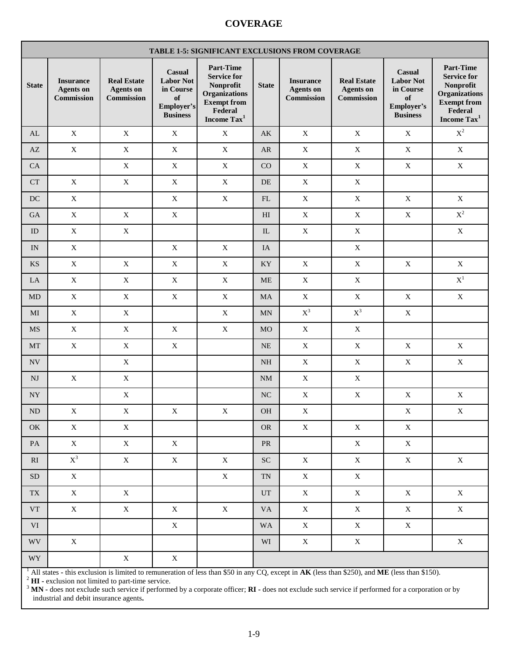|                          | TABLE 1-5: SIGNIFICANT EXCLUSIONS FROM COVERAGE    |                                                             |                                                                                |                                                                                                                                         |                            |                                                    |                                                      |                                                                                       |                                                                                                                                         |  |
|--------------------------|----------------------------------------------------|-------------------------------------------------------------|--------------------------------------------------------------------------------|-----------------------------------------------------------------------------------------------------------------------------------------|----------------------------|----------------------------------------------------|------------------------------------------------------|---------------------------------------------------------------------------------------|-----------------------------------------------------------------------------------------------------------------------------------------|--|
| <b>State</b>             | <b>Insurance</b><br><b>Agents</b> on<br>Commission | <b>Real Estate</b><br><b>Agents</b> on<br><b>Commission</b> | Casual<br><b>Labor Not</b><br>in Course<br>of<br>Employer's<br><b>Business</b> | <b>Part-Time</b><br><b>Service for</b><br>Nonprofit<br><b>Organizations</b><br><b>Exempt from</b><br>Federal<br>Income Tax <sup>1</sup> | <b>State</b>               | <b>Insurance</b><br><b>Agents</b> on<br>Commission | <b>Real Estate</b><br><b>Agents</b> on<br>Commission | <b>Casual</b><br><b>Labor Not</b><br>in Course<br>of<br>Employer's<br><b>Business</b> | <b>Part-Time</b><br><b>Service for</b><br>Nonprofit<br><b>Organizations</b><br><b>Exempt from</b><br>Federal<br>Income Tax <sup>1</sup> |  |
| AL                       | $\mathbf X$                                        | $\mathbf X$                                                 | $\mathbf X$                                                                    | $\mathbf X$                                                                                                                             | AK                         | $\mathbf X$                                        | $\mathbf X$                                          | $\mathbf X$                                                                           | $\mathbf{X}^2$                                                                                                                          |  |
| AZ                       | $\mathbf X$                                        | $\mathbf X$                                                 | $\mathbf X$                                                                    | $\mathbf X$                                                                                                                             | ${\sf AR}$                 | $\mathbf X$                                        | $\mathbf X$                                          | $\mathbf X$                                                                           | $\mathbf X$                                                                                                                             |  |
| CA                       |                                                    | $\mathbf X$                                                 | $\mathbf X$                                                                    | $\mathbf X$                                                                                                                             | CO                         | $\mathbf X$                                        | $\mathbf X$                                          | $\mathbf X$                                                                           | $\mathbf X$                                                                                                                             |  |
| CT                       | $\mathbf X$                                        | $\mathbf X$                                                 | $\mathbf X$                                                                    | $\mathbf X$                                                                                                                             | DE                         | $\mathbf X$                                        | $\mathbf X$                                          |                                                                                       |                                                                                                                                         |  |
| DC                       | $\mathbf X$                                        |                                                             | $\mathbf X$                                                                    | $\mathbf X$                                                                                                                             | $\mathop{\rm FL}\nolimits$ | $\mathbf X$                                        | $\mathbf X$                                          | $\mathbf X$                                                                           | $\mathbf X$                                                                                                                             |  |
| <b>GA</b>                | $\mathbf X$                                        | $\mathbf X$                                                 | $\mathbf X$                                                                    |                                                                                                                                         | H <sub>I</sub>             | $\mathbf X$                                        | $\mathbf X$                                          | $\mathbf X$                                                                           | $\mathbf{X}^2$                                                                                                                          |  |
| ID                       | $\mathbf X$                                        | $\mathbf X$                                                 |                                                                                |                                                                                                                                         | $\rm IL$                   | $\mathbf X$                                        | $\mathbf X$                                          |                                                                                       | $\mathbf X$                                                                                                                             |  |
| IN                       | X                                                  |                                                             | $\mathbf X$                                                                    | $\mathbf X$                                                                                                                             | IA                         |                                                    | $\mathbf X$                                          |                                                                                       |                                                                                                                                         |  |
| <b>KS</b>                | $\mathbf X$                                        | $\mathbf X$                                                 | $\mathbf X$                                                                    | $\mathbf X$                                                                                                                             | KY                         | $\mathbf X$                                        | $\mathbf X$                                          | $\mathbf X$                                                                           | $\mathbf X$                                                                                                                             |  |
| LA                       | $\mathbf X$                                        | $\mathbf X$                                                 | $\mathbf X$                                                                    | $\mathbf X$                                                                                                                             | <b>ME</b>                  | $\mathbf X$                                        | $\mathbf X$                                          |                                                                                       | $\mathbf{X}^1$                                                                                                                          |  |
| MD                       | $\mathbf X$                                        | $\mathbf X$                                                 | $\mathbf X$                                                                    | $\mathbf X$                                                                                                                             | MA                         | $\mathbf X$                                        | $\mathbf X$                                          | $\mathbf X$                                                                           | $\mathbf X$                                                                                                                             |  |
| MI                       | $\mathbf X$                                        | $\mathbf X$                                                 |                                                                                | $\mathbf X$                                                                                                                             | MN                         | $\mathbf{X}^3$                                     | $\mathbf{X}^3$                                       | $\mathbf X$                                                                           |                                                                                                                                         |  |
| MS                       | $\mathbf X$                                        | $\mathbf X$                                                 | $\mathbf X$                                                                    | $\mathbf X$                                                                                                                             | <b>MO</b>                  | $\mathbf X$                                        | $\mathbf X$                                          |                                                                                       |                                                                                                                                         |  |
| MT                       | $\mathbf X$                                        | $\mathbf X$                                                 | $\mathbf X$                                                                    |                                                                                                                                         | $NE$                       | $\mathbf X$                                        | $\mathbf X$                                          | $\mathbf X$                                                                           | $\mathbf X$                                                                                                                             |  |
| <b>NV</b>                |                                                    | X                                                           |                                                                                |                                                                                                                                         | <b>NH</b>                  | $\mathbf X$                                        | $\mathbf X$                                          | X                                                                                     | X                                                                                                                                       |  |
| $\mathbf{N}\mathbf{J}$   | $\mathbf X$                                        | $\mathbf X$                                                 |                                                                                |                                                                                                                                         | $\mathrm{NM}$              | $\mathbf X$                                        | $\mathbf X$                                          |                                                                                       |                                                                                                                                         |  |
| ${\rm NY}$               |                                                    | $\mathbf X$                                                 |                                                                                |                                                                                                                                         | <b>NC</b>                  | $\mathbf X$                                        | $\mathbf X$                                          | $\mathbf X$                                                                           | $\mathbf X$                                                                                                                             |  |
| $\rm ND$                 | $\mathbf X$                                        | $\mathbf X$                                                 | $\mathbf X$                                                                    | $\mathbf X$                                                                                                                             | <b>OH</b>                  | $\mathbf X$                                        |                                                      | $\mathbf X$                                                                           | $\mathbf X$                                                                                                                             |  |
| OK                       | $\mathbf X$                                        | $\mathbf X$                                                 |                                                                                |                                                                                                                                         | <b>OR</b>                  | $\mathbf X$                                        | $\mathbf X$                                          | $\mathbf X$                                                                           |                                                                                                                                         |  |
| PA                       | $\mathbf X$                                        | $\mathbf X$                                                 | $\mathbf X$                                                                    |                                                                                                                                         | ${\rm PR}$                 |                                                    | $\mathbf X$                                          | $\mathbf X$                                                                           |                                                                                                                                         |  |
| RI                       | $\mathrm{X}^3$                                     | $\mathbf X$                                                 | $\mathbf X$                                                                    | $\mathbf X$                                                                                                                             | ${\rm SC}$                 | $\mathbf X$                                        | $\mathbf X$                                          | $\mathbf X$                                                                           | $\mathbf X$                                                                                                                             |  |
| SD                       | $\mathbf X$                                        |                                                             |                                                                                | $\mathbf X$                                                                                                                             | $\mbox{T}\mbox{N}$         | $\mathbf X$                                        | $\mathbf X$                                          |                                                                                       |                                                                                                                                         |  |
| $\mathcal{T}\mathcal{X}$ | $\mathbf X$                                        | $\mathbf X$                                                 |                                                                                |                                                                                                                                         | $_{\rm UT}$                | $\mathbf X$                                        | $\mathbf X$                                          | $\mathbf X$                                                                           | $\mathbf X$                                                                                                                             |  |
| <b>VT</b>                | $\mathbf X$                                        | $\mathbf X$                                                 | $\mathbf X$                                                                    | $\mathbf X$                                                                                                                             | <b>VA</b>                  | $\mathbf X$                                        | $\mathbf X$                                          | $\mathbf X$                                                                           | $\mathbf X$                                                                                                                             |  |
| VI                       |                                                    |                                                             | $\mathbf X$                                                                    |                                                                                                                                         | <b>WA</b>                  | $\mathbf X$                                        | $\mathbf X$                                          | $\mathbf X$                                                                           |                                                                                                                                         |  |
| <b>WV</b>                | $\mathbf X$                                        |                                                             |                                                                                |                                                                                                                                         | WI                         | $\mathbf X$                                        | $\mathbf X$                                          |                                                                                       | $\mathbf X$                                                                                                                             |  |
| WY                       |                                                    | $\mathbf X$                                                 | $\mathbf X$                                                                    |                                                                                                                                         |                            |                                                    |                                                      |                                                                                       |                                                                                                                                         |  |

<sup>1</sup> All states **-** this exclusion is limited to remuneration of less than \$50 in any CQ, except in **AK** (less than \$250), and **ME** (less than \$150).

<sup>2</sup> **HI -** exclusion not limited to part-time service.

<sup>3</sup> **MN -** does not exclude such service if performed by a corporate officer; **RI -** does not exclude such service if performed for a corporation or by industrial and debit insurance agents**.**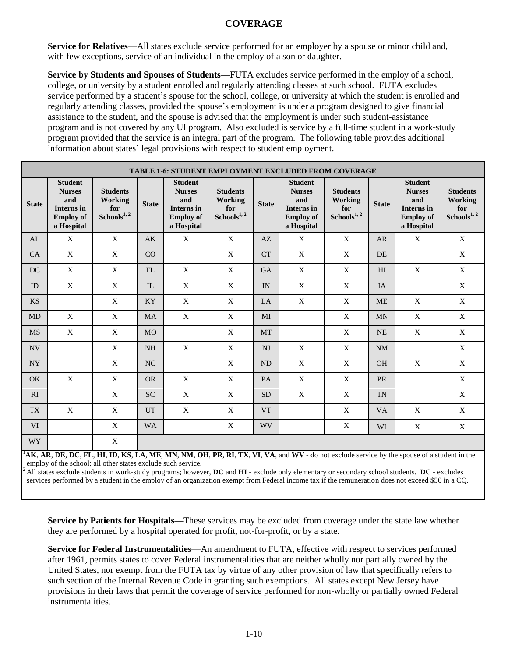**Service for Relatives—All** states exclude service performed for an employer by a spouse or minor child and, with few exceptions, service of an individual in the employ of a son or daughter.

**Service by Students and Spouses of Students—**FUTA excludes service performed in the employ of a school, college, or university by a student enrolled and regularly attending classes at such school. FUTA excludes service performed by a student's spouse for the school, college, or university at which the student is enrolled and regularly attending classes, provided the spouse's employment is under a program designed to give financial assistance to the student, and the spouse is advised that the employment is under such student-assistance program and is not covered by any UI program. Also excluded is service by a full-time student in a work-study program provided that the service is an integral part of the program. The following table provides additional information about states' legal provisions with respect to student employment.

|                | <b>TABLE 1-6: STUDENT EMPLOYMENT EXCLUDED FROM COVERAGE</b>                            |                                                              |              |                                                                                        |                                                              |              |                                                                                        |                                                              |                |                                                                                        |                                                                     |
|----------------|----------------------------------------------------------------------------------------|--------------------------------------------------------------|--------------|----------------------------------------------------------------------------------------|--------------------------------------------------------------|--------------|----------------------------------------------------------------------------------------|--------------------------------------------------------------|----------------|----------------------------------------------------------------------------------------|---------------------------------------------------------------------|
| <b>State</b>   | <b>Student</b><br><b>Nurses</b><br>and<br>Interns in<br><b>Employ of</b><br>a Hospital | <b>Students</b><br>Working<br>for<br>Schools <sup>1, 2</sup> | <b>State</b> | <b>Student</b><br><b>Nurses</b><br>and<br>Interns in<br><b>Employ of</b><br>a Hospital | <b>Students</b><br>Working<br>for<br>Schools <sup>1, 2</sup> | <b>State</b> | <b>Student</b><br><b>Nurses</b><br>and<br>Interns in<br><b>Employ of</b><br>a Hospital | <b>Students</b><br>Working<br>for<br>Schools <sup>1, 2</sup> | <b>State</b>   | <b>Student</b><br><b>Nurses</b><br>and<br>Interns in<br><b>Employ of</b><br>a Hospital | <b>Students</b><br><b>Working</b><br>for<br>Schools <sup>1, 2</sup> |
| AL             | X                                                                                      | $\mathbf X$                                                  | AK           | $\mathbf X$                                                                            | $\mathbf{X}$                                                 | AZ           | X                                                                                      | $\mathbf{X}$                                                 | <b>AR</b>      | X                                                                                      | $\mathbf X$                                                         |
| CA             | $\mathbf X$                                                                            | $\mathbf X$                                                  | CO           |                                                                                        | X                                                            | <b>CT</b>    | $\mathbf X$                                                                            | $\mathbf X$                                                  | DE             |                                                                                        | $\mathbf X$                                                         |
| DC             | $\mathbf X$                                                                            | $\mathbf X$                                                  | FL           | $\mathbf X$                                                                            | $\mathbf X$                                                  | <b>GA</b>    | $\mathbf X$                                                                            | $\mathbf X$                                                  | H <sub>I</sub> | $\mathbf X$                                                                            | $\mathbf X$                                                         |
| ID             | X                                                                                      | X                                                            | IL           | X                                                                                      | X                                                            | IN           | X                                                                                      | X                                                            | <b>IA</b>      |                                                                                        | X                                                                   |
| <b>KS</b>      |                                                                                        | $\mathbf{X}$                                                 | <b>KY</b>    | $\mathbf{X}$                                                                           | X                                                            | LA           | $\mathbf{X}$                                                                           | $\mathbf{X}$                                                 | <b>ME</b>      | $\mathbf{X}$                                                                           | X                                                                   |
| <b>MD</b>      | $\mathbf X$                                                                            | $\mathbf X$                                                  | <b>MA</b>    | $\mathbf X$                                                                            | $\mathbf X$                                                  | MI           |                                                                                        | $\mathbf X$                                                  | <b>MN</b>      | $\mathbf X$                                                                            | $\mathbf X$                                                         |
| <b>MS</b>      | $\mathbf X$                                                                            | $\mathbf X$                                                  | <b>MO</b>    |                                                                                        | $\mathbf X$                                                  | <b>MT</b>    |                                                                                        | $\mathbf X$                                                  | <b>NE</b>      | $\mathbf X$                                                                            | $\mathbf X$                                                         |
| <b>NV</b>      |                                                                                        | $\mathbf X$                                                  | $\rm NH$     | $\mathbf X$                                                                            | X                                                            | <b>NJ</b>    | $\mathbf X$                                                                            | $\mathbf X$                                                  | <b>NM</b>      |                                                                                        | $\mathbf X$                                                         |
| <b>NY</b>      |                                                                                        | X                                                            | NC           |                                                                                        | X                                                            | <b>ND</b>    | X                                                                                      | X                                                            | <b>OH</b>      | X                                                                                      | $\mathbf X$                                                         |
| <b>OK</b>      | $\mathbf X$                                                                            | $\mathbf X$                                                  | <b>OR</b>    | $\mathbf X$                                                                            | $\mathbf X$                                                  | PA           | $\mathbf X$                                                                            | $\mathbf X$                                                  | <b>PR</b>      |                                                                                        | $\mathbf X$                                                         |
| RI             |                                                                                        | $\mathbf X$                                                  | <b>SC</b>    | $\mathbf X$                                                                            | $\mathbf X$                                                  | <b>SD</b>    | $\mathbf X$                                                                            | $\mathbf X$                                                  | <b>TN</b>      |                                                                                        | $\mathbf X$                                                         |
| <b>TX</b>      | X                                                                                      | X                                                            | <b>UT</b>    | X                                                                                      | X                                                            | <b>VT</b>    |                                                                                        | X                                                            | <b>VA</b>      | X                                                                                      | X                                                                   |
| <b>VI</b>      |                                                                                        | X                                                            | <b>WA</b>    |                                                                                        | X                                                            | <b>WV</b>    |                                                                                        | X                                                            | WI             | X                                                                                      | X                                                                   |
| WY <sub></sub> |                                                                                        | $\mathbf X$                                                  |              |                                                                                        |                                                              |              |                                                                                        |                                                              |                |                                                                                        |                                                                     |

AK, AR, DE, DC, FL, HI, ID, KS, LA, ME, MN, NM, OH, PR, RI, TX, VI, VA, and WV - do not exclude service by the spouse of a student in the employ of the school; all other states exclude such service.

<sup>2</sup>All states exclude students in work-study programs; however, **DC** and **HI -** exclude only elementary or secondary school students. **DC -** excludes services performed by a student in the employ of an organization exempt from Federal income tax if the remuneration does not exceed \$50 in a CQ.

**Service by Patients for Hospitals—**These services may be excluded from coverage under the state law whether they are performed by a hospital operated for profit, not-for-profit, or by a state.

**Service for Federal Instrumentalities—**An amendment to FUTA, effective with respect to services performed after 1961, permits states to cover Federal instrumentalities that are neither wholly nor partially owned by the United States, nor exempt from the FUTA tax by virtue of any other provision of law that specifically refers to such section of the Internal Revenue Code in granting such exemptions. All states except New Jersey have provisions in their laws that permit the coverage of service performed for non-wholly or partially owned Federal instrumentalities.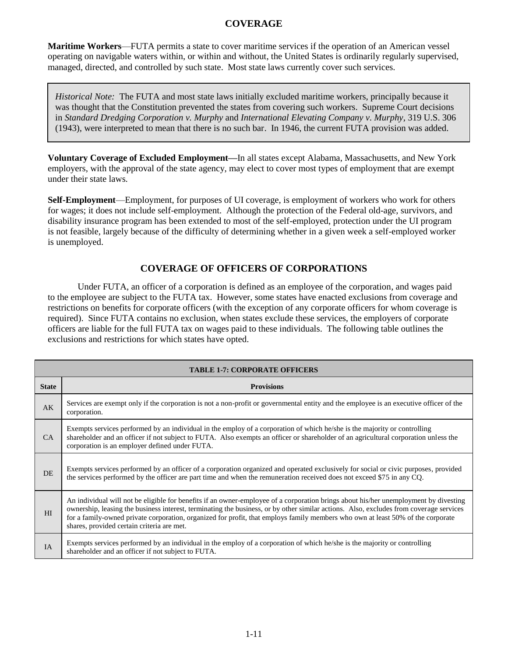**Maritime Workers**—FUTA permits a state to cover maritime services if the operation of an American vessel operating on navigable waters within, or within and without, the United States is ordinarily regularly supervised, managed, directed, and controlled by such state. Most state laws currently cover such services.

*Historical Note:* The FUTA and most state laws initially excluded maritime workers, principally because it was thought that the Constitution prevented the states from covering such workers. Supreme Court decisions in *Standard Dredging Corporation v. Murphy* and *International Elevating Company v. Murphy*, 319 U.S. 306 (1943), were interpreted to mean that there is no such bar. In 1946, the current FUTA provision was added.

**Voluntary Coverage of Excluded Employment—**In all states except Alabama, Massachusetts, and New York employers, with the approval of the state agency, may elect to cover most types of employment that are exempt under their state laws.

**Self-Employment**—Employment, for purposes of UI coverage, is employment of workers who work for others for wages; it does not include self-employment. Although the protection of the Federal old-age, survivors, and disability insurance program has been extended to most of the self-employed, protection under the UI program is not feasible, largely because of the difficulty of determining whether in a given week a self-employed worker is unemployed.

## **COVERAGE OF OFFICERS OF CORPORATIONS**

Under FUTA, an officer of a corporation is defined as an employee of the corporation, and wages paid to the employee are subject to the FUTA tax. However, some states have enacted exclusions from coverage and restrictions on benefits for corporate officers (with the exception of any corporate officers for whom coverage is required). Since FUTA contains no exclusion, when states exclude these services, the employers of corporate officers are liable for the full FUTA tax on wages paid to these individuals. The following table outlines the exclusions and restrictions for which states have opted.

|              | <b>TABLE 1-7: CORPORATE OFFICERS</b>                                                                                                                                                                                                                                                                                                                                                                                                                            |  |  |  |  |  |  |  |
|--------------|-----------------------------------------------------------------------------------------------------------------------------------------------------------------------------------------------------------------------------------------------------------------------------------------------------------------------------------------------------------------------------------------------------------------------------------------------------------------|--|--|--|--|--|--|--|
| <b>State</b> | <b>Provisions</b>                                                                                                                                                                                                                                                                                                                                                                                                                                               |  |  |  |  |  |  |  |
| AK           | Services are exempt only if the corporation is not a non-profit or governmental entity and the employee is an executive officer of the<br>corporation.                                                                                                                                                                                                                                                                                                          |  |  |  |  |  |  |  |
| CA.          | Exempts services performed by an individual in the employ of a corporation of which he/she is the majority or controlling<br>shareholder and an officer if not subject to FUTA. Also exempts an officer or shareholder of an agricultural corporation unless the<br>corporation is an employer defined under FUTA.                                                                                                                                              |  |  |  |  |  |  |  |
| DE           | Exempts services performed by an officer of a corporation organized and operated exclusively for social or civic purposes, provided<br>the services performed by the officer are part time and when the remuneration received does not exceed \$75 in any CQ.                                                                                                                                                                                                   |  |  |  |  |  |  |  |
| HI           | An individual will not be eligible for benefits if an owner-employee of a corporation brings about his/her unemployment by divesting<br>ownership, leasing the business interest, terminating the business, or by other similar actions. Also, excludes from coverage services<br>for a family-owned private corporation, organized for profit, that employs family members who own at least 50% of the corporate<br>shares, provided certain criteria are met. |  |  |  |  |  |  |  |
| IA           | Exempts services performed by an individual in the employ of a corporation of which he/she is the majority or controlling<br>shareholder and an officer if not subject to FUTA.                                                                                                                                                                                                                                                                                 |  |  |  |  |  |  |  |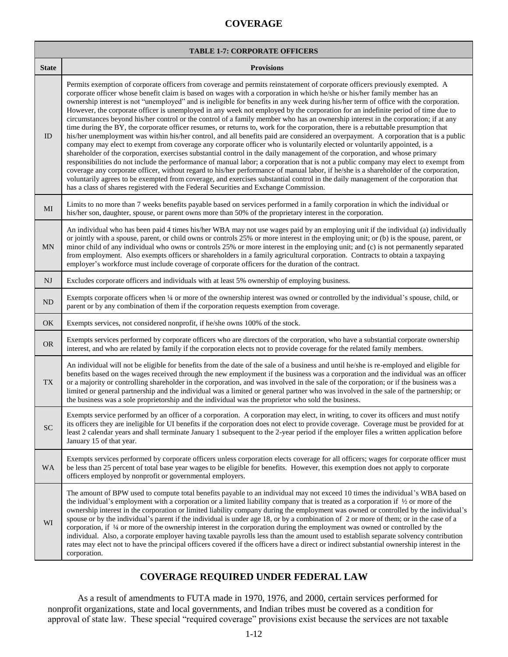|              | <b>TABLE 1-7: CORPORATE OFFICERS</b>                                                                                                                                                                                                                                                                                                                                                                                                                                                                                                                                                                                                                                                                                                                                                                                                                                                                                                                                                                                                                                                                                                                                                                                                                                                                                                                                                                                                                                                                                                                                                                                                                                                                                                    |  |  |  |  |  |  |  |  |
|--------------|-----------------------------------------------------------------------------------------------------------------------------------------------------------------------------------------------------------------------------------------------------------------------------------------------------------------------------------------------------------------------------------------------------------------------------------------------------------------------------------------------------------------------------------------------------------------------------------------------------------------------------------------------------------------------------------------------------------------------------------------------------------------------------------------------------------------------------------------------------------------------------------------------------------------------------------------------------------------------------------------------------------------------------------------------------------------------------------------------------------------------------------------------------------------------------------------------------------------------------------------------------------------------------------------------------------------------------------------------------------------------------------------------------------------------------------------------------------------------------------------------------------------------------------------------------------------------------------------------------------------------------------------------------------------------------------------------------------------------------------------|--|--|--|--|--|--|--|--|
| <b>State</b> | <b>Provisions</b>                                                                                                                                                                                                                                                                                                                                                                                                                                                                                                                                                                                                                                                                                                                                                                                                                                                                                                                                                                                                                                                                                                                                                                                                                                                                                                                                                                                                                                                                                                                                                                                                                                                                                                                       |  |  |  |  |  |  |  |  |
| ID           | Permits exemption of corporate officers from coverage and permits reinstatement of corporate officers previously exempted. A<br>corporate officer whose benefit claim is based on wages with a corporation in which he/she or his/her family member has an<br>ownership interest is not "unemployed" and is ineligible for benefits in any week during his/her term of office with the corporation.<br>However, the corporate officer is unemployed in any week not employed by the corporation for an indefinite period of time due to<br>circumstances beyond his/her control or the control of a family member who has an ownership interest in the corporation; if at any<br>time during the BY, the corporate officer resumes, or returns to, work for the corporation, there is a rebuttable presumption that<br>his/her unemployment was within his/her control, and all benefits paid are considered an overpayment. A corporation that is a public<br>company may elect to exempt from coverage any corporate officer who is voluntarily elected or voluntarily appointed, is a<br>shareholder of the corporation, exercises substantial control in the daily management of the corporation, and whose primary<br>responsibilities do not include the performance of manual labor; a corporation that is not a public company may elect to exempt from<br>coverage any corporate officer, without regard to his/her performance of manual labor, if he/she is a shareholder of the corporation,<br>voluntarily agrees to be exempted from coverage, and exercises substantial control in the daily management of the corporation that<br>has a class of shares registered with the Federal Securities and Exchange Commission. |  |  |  |  |  |  |  |  |
| MI           | Limits to no more than 7 weeks benefits payable based on services performed in a family corporation in which the individual or<br>his/her son, daughter, spouse, or parent owns more than 50% of the proprietary interest in the corporation.                                                                                                                                                                                                                                                                                                                                                                                                                                                                                                                                                                                                                                                                                                                                                                                                                                                                                                                                                                                                                                                                                                                                                                                                                                                                                                                                                                                                                                                                                           |  |  |  |  |  |  |  |  |
| <b>MN</b>    | An individual who has been paid 4 times his/her WBA may not use wages paid by an employing unit if the individual (a) individually<br>or jointly with a spouse, parent, or child owns or controls 25% or more interest in the employing unit; or (b) is the spouse, parent, or<br>minor child of any individual who owns or controls 25% or more interest in the employing unit; and (c) is not permanently separated<br>from employment. Also exempts officers or shareholders in a family agricultural corporation. Contracts to obtain a taxpaying<br>employer's workforce must include coverage of corporate officers for the duration of the contract.                                                                                                                                                                                                                                                                                                                                                                                                                                                                                                                                                                                                                                                                                                                                                                                                                                                                                                                                                                                                                                                                             |  |  |  |  |  |  |  |  |
| NJ           | Excludes corporate officers and individuals with at least 5% ownership of employing business.                                                                                                                                                                                                                                                                                                                                                                                                                                                                                                                                                                                                                                                                                                                                                                                                                                                                                                                                                                                                                                                                                                                                                                                                                                                                                                                                                                                                                                                                                                                                                                                                                                           |  |  |  |  |  |  |  |  |
| ND           | Exempts corporate officers when 1/4 or more of the ownership interest was owned or controlled by the individual's spouse, child, or<br>parent or by any combination of them if the corporation requests exemption from coverage.                                                                                                                                                                                                                                                                                                                                                                                                                                                                                                                                                                                                                                                                                                                                                                                                                                                                                                                                                                                                                                                                                                                                                                                                                                                                                                                                                                                                                                                                                                        |  |  |  |  |  |  |  |  |
| OK           | Exempts services, not considered nonprofit, if he/she owns 100% of the stock.                                                                                                                                                                                                                                                                                                                                                                                                                                                                                                                                                                                                                                                                                                                                                                                                                                                                                                                                                                                                                                                                                                                                                                                                                                                                                                                                                                                                                                                                                                                                                                                                                                                           |  |  |  |  |  |  |  |  |
| <b>OR</b>    | Exempts services performed by corporate officers who are directors of the corporation, who have a substantial corporate ownership<br>interest, and who are related by family if the corporation elects not to provide coverage for the related family members.                                                                                                                                                                                                                                                                                                                                                                                                                                                                                                                                                                                                                                                                                                                                                                                                                                                                                                                                                                                                                                                                                                                                                                                                                                                                                                                                                                                                                                                                          |  |  |  |  |  |  |  |  |
| <b>TX</b>    | An individual will not be eligible for benefits from the date of the sale of a business and until he/she is re-employed and eligible for<br>benefits based on the wages received through the new employment if the business was a corporation and the individual was an officer<br>or a majority or controlling shareholder in the corporation, and was involved in the sale of the corporation; or if the business was a<br>limited or general partnership and the individual was a limited or general partner who was involved in the sale of the partnership; or<br>the business was a sole proprietorship and the individual was the proprietor who sold the business.                                                                                                                                                                                                                                                                                                                                                                                                                                                                                                                                                                                                                                                                                                                                                                                                                                                                                                                                                                                                                                                              |  |  |  |  |  |  |  |  |
| ${\rm SC}$   | Exempts service performed by an officer of a corporation. A corporation may elect, in writing, to cover its officers and must notify<br>its officers they are ineligible for UI benefits if the corporation does not elect to provide coverage. Coverage must be provided for at<br>least 2 calendar years and shall terminate January 1 subsequent to the 2-year period if the employer files a written application before<br>January 15 of that year.                                                                                                                                                                                                                                                                                                                                                                                                                                                                                                                                                                                                                                                                                                                                                                                                                                                                                                                                                                                                                                                                                                                                                                                                                                                                                 |  |  |  |  |  |  |  |  |
| <b>WA</b>    | Exempts services performed by corporate officers unless corporation elects coverage for all officers; wages for corporate officer must<br>be less than 25 percent of total base year wages to be eligible for benefits. However, this exemption does not apply to corporate<br>officers employed by nonprofit or governmental employers.                                                                                                                                                                                                                                                                                                                                                                                                                                                                                                                                                                                                                                                                                                                                                                                                                                                                                                                                                                                                                                                                                                                                                                                                                                                                                                                                                                                                |  |  |  |  |  |  |  |  |
| WI           | The amount of BPW used to compute total benefits payable to an individual may not exceed 10 times the individual's WBA based on<br>the individual's employment with a corporation or a limited liability company that is treated as a corporation if $\frac{1}{2}$ or more of the<br>ownership interest in the corporation or limited liability company during the employment was owned or controlled by the individual's<br>spouse or by the individual's parent if the individual is under age 18, or by a combination of 2 or more of them; or in the case of a<br>corporation, if 1/4 or more of the ownership interest in the corporation during the employment was owned or controlled by the<br>individual. Also, a corporate employer having taxable payrolls less than the amount used to establish separate solvency contribution<br>rates may elect not to have the principal officers covered if the officers have a direct or indirect substantial ownership interest in the<br>corporation.                                                                                                                                                                                                                                                                                                                                                                                                                                                                                                                                                                                                                                                                                                                               |  |  |  |  |  |  |  |  |

# **COVERAGE REQUIRED UNDER FEDERAL LAW**

As a result of amendments to FUTA made in 1970, 1976, and 2000, certain services performed for nonprofit organizations, state and local governments, and Indian tribes must be covered as a condition for approval of state law. These special "required coverage" provisions exist because the services are not taxable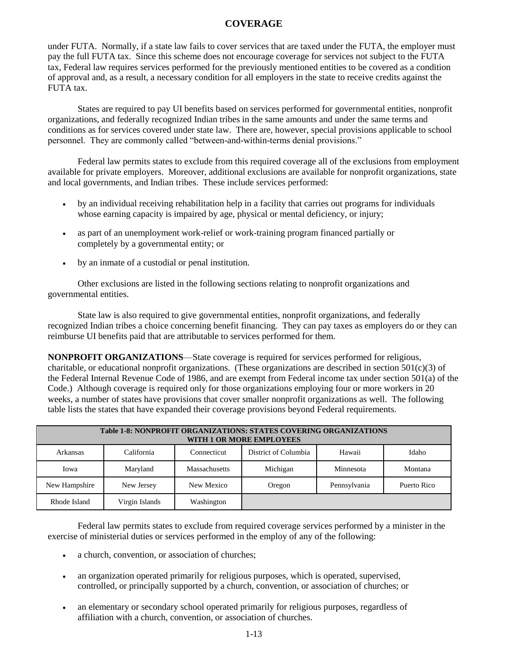under FUTA. Normally, if a state law fails to cover services that are taxed under the FUTA, the employer must pay the full FUTA tax. Since this scheme does not encourage coverage for services not subject to the FUTA tax, Federal law requires services performed for the previously mentioned entities to be covered as a condition of approval and, as a result, a necessary condition for all employers in the state to receive credits against the FUTA tax.

States are required to pay UI benefits based on services performed for governmental entities, nonprofit organizations, and federally recognized Indian tribes in the same amounts and under the same terms and conditions as for services covered under state law. There are, however, special provisions applicable to school personnel. They are commonly called "between-and-within-terms denial provisions."

Federal law permits states to exclude from this required coverage all of the exclusions from employment available for private employers. Moreover, additional exclusions are available for nonprofit organizations, state and local governments, and Indian tribes. These include services performed:

- by an individual receiving rehabilitation help in a facility that carries out programs for individuals whose earning capacity is impaired by age, physical or mental deficiency, or injury;
- as part of an unemployment work-relief or work-training program financed partially or completely by a governmental entity; or
- by an inmate of a custodial or penal institution.

Other exclusions are listed in the following sections relating to nonprofit organizations and governmental entities.

State law is also required to give governmental entities, nonprofit organizations, and federally recognized Indian tribes a choice concerning benefit financing. They can pay taxes as employers do or they can reimburse UI benefits paid that are attributable to services performed for them.

**NONPROFIT ORGANIZATIONS**—State coverage is required for services performed for religious, charitable, or educational nonprofit organizations. (These organizations are described in section  $501(c)(3)$  of the Federal Internal Revenue Code of 1986, and are exempt from Federal income tax under section 501(a) of the Code.) Although coverage is required only for those organizations employing four or more workers in 20 weeks, a number of states have provisions that cover smaller nonprofit organizations as well. The following table lists the states that have expanded their coverage provisions beyond Federal requirements.

|               | <b>Table 1-8: NONPROFIT ORGANIZATIONS: STATES COVERING ORGANIZATIONS</b><br>WITH 1 OR MORE EMPLOYEES |               |                      |              |             |  |  |  |  |
|---------------|------------------------------------------------------------------------------------------------------|---------------|----------------------|--------------|-------------|--|--|--|--|
| Arkansas      | California                                                                                           | Connecticut   | District of Columbia | Hawaii       | Idaho       |  |  |  |  |
| Iowa          | Maryland                                                                                             | Massachusetts | Michigan             | Minnesota    | Montana     |  |  |  |  |
| New Hampshire | New Jersey                                                                                           | New Mexico    | Oregon               | Pennsylvania | Puerto Rico |  |  |  |  |
| Rhode Island  | Virgin Islands                                                                                       | Washington    |                      |              |             |  |  |  |  |

Federal law permits states to exclude from required coverage services performed by a minister in the exercise of ministerial duties or services performed in the employ of any of the following:

- a church, convention, or association of churches;
- an organization operated primarily for religious purposes, which is operated, supervised, controlled, or principally supported by a church, convention, or association of churches; or
- an elementary or secondary school operated primarily for religious purposes, regardless of affiliation with a church, convention, or association of churches.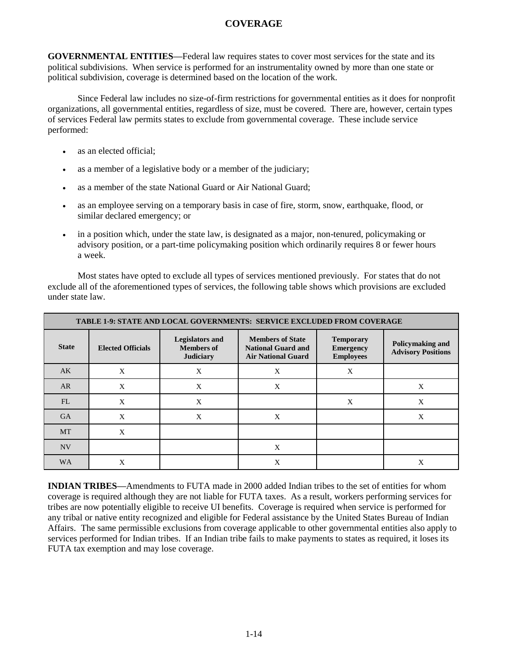**GOVERNMENTAL ENTITIES—**Federal law requires states to cover most services for the state and its political subdivisions. When service is performed for an instrumentality owned by more than one state or political subdivision, coverage is determined based on the location of the work.

Since Federal law includes no size-of-firm restrictions for governmental entities as it does for nonprofit organizations, all governmental entities, regardless of size, must be covered. There are, however, certain types of services Federal law permits states to exclude from governmental coverage. These include service performed:

- as an elected official;
- as a member of a legislative body or a member of the judiciary;
- as a member of the state National Guard or Air National Guard;
- as an employee serving on a temporary basis in case of fire, storm, snow, earthquake, flood, or similar declared emergency; or
- in a position which, under the state law, is designated as a major, non-tenured, policymaking or advisory position, or a part-time policymaking position which ordinarily requires 8 or fewer hours a week.

Most states have opted to exclude all types of services mentioned previously. For states that do not exclude all of the aforementioned types of services, the following table shows which provisions are excluded under state law.

| <b>TABLE 1-9: STATE AND LOCAL GOVERNMENTS: SERVICE EXCLUDED FROM COVERAGE</b> |                          |                                                                 |                                                                                   |                                                          |                                               |  |  |  |  |
|-------------------------------------------------------------------------------|--------------------------|-----------------------------------------------------------------|-----------------------------------------------------------------------------------|----------------------------------------------------------|-----------------------------------------------|--|--|--|--|
| <b>State</b>                                                                  | <b>Elected Officials</b> | <b>Legislators and</b><br><b>Members of</b><br><b>Judiciary</b> | <b>Members of State</b><br><b>National Guard and</b><br><b>Air National Guard</b> | <b>Temporary</b><br><b>Emergency</b><br><b>Employees</b> | Policymaking and<br><b>Advisory Positions</b> |  |  |  |  |
| AK                                                                            | X                        | X                                                               | X                                                                                 | X                                                        |                                               |  |  |  |  |
| AR                                                                            | X                        | X                                                               | X                                                                                 |                                                          | X                                             |  |  |  |  |
| FL                                                                            | X                        | X                                                               |                                                                                   | X                                                        | X                                             |  |  |  |  |
| <b>GA</b>                                                                     | X                        | X                                                               | X                                                                                 |                                                          | X                                             |  |  |  |  |
| <b>MT</b>                                                                     | X                        |                                                                 |                                                                                   |                                                          |                                               |  |  |  |  |
| <b>NV</b>                                                                     |                          |                                                                 | X                                                                                 |                                                          |                                               |  |  |  |  |
| <b>WA</b>                                                                     | X                        |                                                                 | X                                                                                 |                                                          | X                                             |  |  |  |  |

**INDIAN TRIBES—**Amendments to FUTA made in 2000 added Indian tribes to the set of entities for whom coverage is required although they are not liable for FUTA taxes. As a result, workers performing services for tribes are now potentially eligible to receive UI benefits. Coverage is required when service is performed for any tribal or native entity recognized and eligible for Federal assistance by the United States Bureau of Indian Affairs. The same permissible exclusions from coverage applicable to other governmental entities also apply to services performed for Indian tribes. If an Indian tribe fails to make payments to states as required, it loses its FUTA tax exemption and may lose coverage.